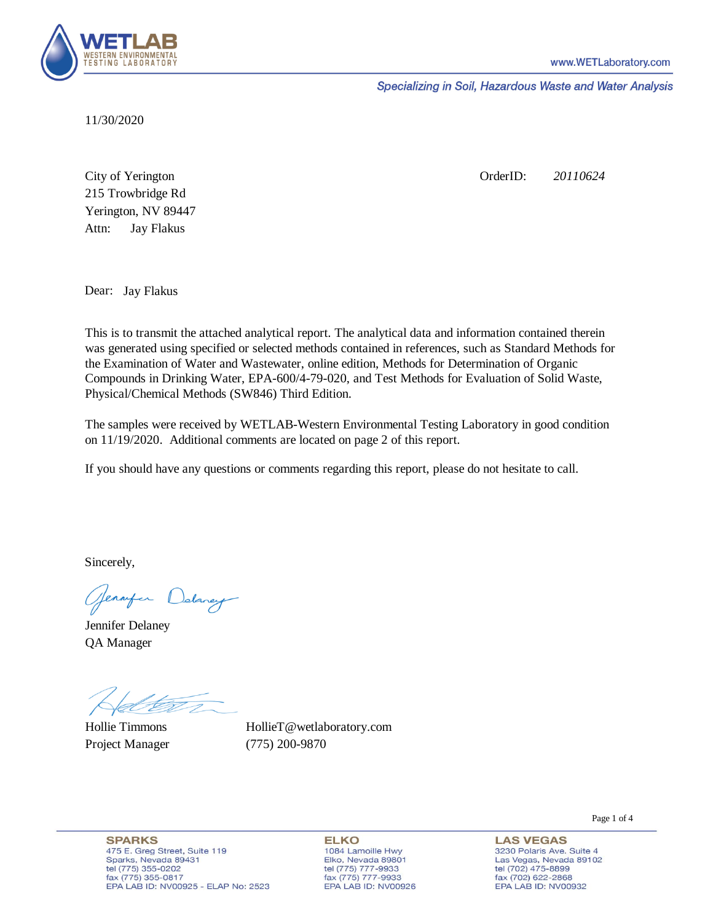

Specializing in Soil, Hazardous Waste and Water Analysis

11/30/2020

Attn: City of Yerington 215 Trowbridge Rd Jay Flakus Yerington, NV 89447 OrderID: *20110624*

Dear: Jay Flakus

This is to transmit the attached analytical report. The analytical data and information contained therein was generated using specified or selected methods contained in references, such as Standard Methods for the Examination of Water and Wastewater, online edition, Methods for Determination of Organic Compounds in Drinking Water, EPA-600/4-79-020, and Test Methods for Evaluation of Solid Waste, Physical/Chemical Methods (SW846) Third Edition.

The samples were received by WETLAB-Western Environmental Testing Laboratory in good condition on 11/19/2020. Additional comments are located on page 2 of this report.

If you should have any questions or comments regarding this report, please do not hesitate to call.

Sincerely,

Genryen Delaney

Jennifer Delaney QA Manager

Hollie Timmons Project Manager (775) 200-9870

HollieT@wetlaboratory.com

**SPARKS** 475 E. Greg Street, Suite 119 Sparks, Nevada 89431 tel (775) 355-0202 fax (775) 355-0817 EPA LAB ID: NV00925 - ELAP No: 2523

**ELKO** 1084 Lamoille Hwy Elko, Nevada 89801 tel (775) 777-9933<br>fax (775) 777-9933 EPA LAB ID: NV00926 Page 1 of 4

**LAS VEGAS** 3230 Polaris Ave. Suite 4 Las Vegas, Nevada 89102 tel (702) 475-8899<br>fax (702) 622-2868 EPA LAB ID: NV00932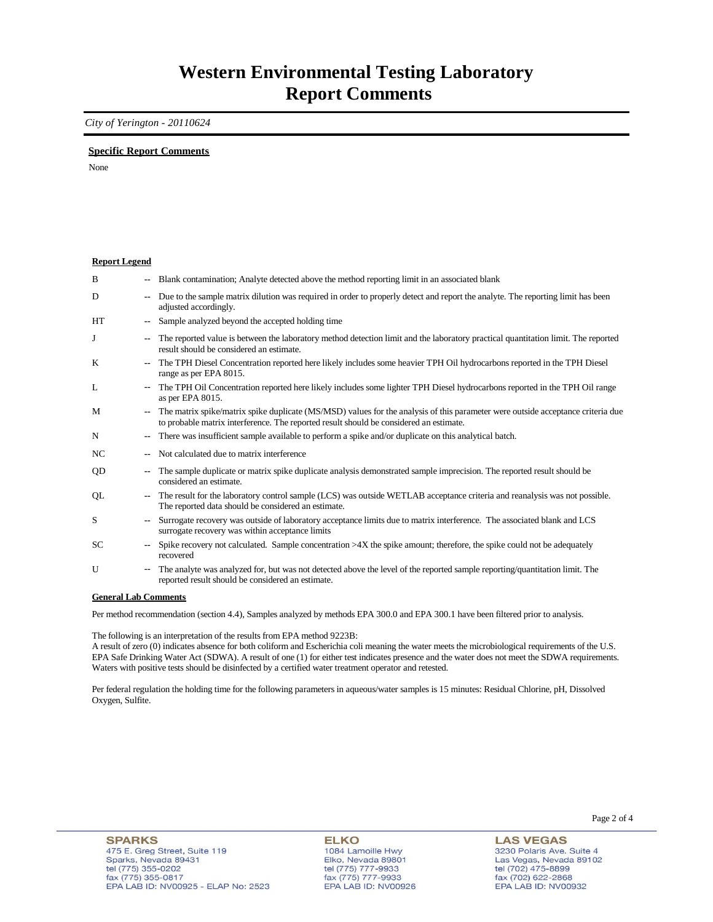### **Western Environmental Testing Laboratory Report Comments**

*City of Yerington - 20110624* 

### **Specific Report Comments**

None

#### **Report Legend**

| B         | -−                       | Blank contamination; Analyte detected above the method reporting limit in an associated blank                                                                                                                             |
|-----------|--------------------------|---------------------------------------------------------------------------------------------------------------------------------------------------------------------------------------------------------------------------|
| D         | ۰.                       | Due to the sample matrix dilution was required in order to properly detect and report the analyte. The reporting limit has been<br>adjusted accordingly.                                                                  |
| <b>HT</b> | $\overline{\phantom{a}}$ | Sample analyzed beyond the accepted holding time                                                                                                                                                                          |
| J         | --                       | The reported value is between the laboratory method detection limit and the laboratory practical quantitation limit. The reported<br>result should be considered an estimate.                                             |
| K         | ۰.                       | The TPH Diesel Concentration reported here likely includes some heavier TPH Oil hydrocarbons reported in the TPH Diesel<br>range as per EPA 8015.                                                                         |
| L         | $\sim$                   | The TPH Oil Concentration reported here likely includes some lighter TPH Diesel hydrocarbons reported in the TPH Oil range<br>as per EPA 8015.                                                                            |
| M         | $\overline{\phantom{a}}$ | The matrix spike/matrix spike duplicate (MS/MSD) values for the analysis of this parameter were outside acceptance criteria due<br>to probable matrix interference. The reported result should be considered an estimate. |
| N         |                          | There was insufficient sample available to perform a spike and/or duplicate on this analytical batch.                                                                                                                     |
| NC        | --                       | Not calculated due to matrix interference                                                                                                                                                                                 |
| <b>OD</b> | --                       | The sample duplicate or matrix spike duplicate analysis demonstrated sample imprecision. The reported result should be<br>considered an estimate.                                                                         |
| QL        | ۰.                       | The result for the laboratory control sample (LCS) was outside WETLAB acceptance criteria and reanalysis was not possible.<br>The reported data should be considered an estimate.                                         |
| S         | $\overline{\phantom{a}}$ | Surrogate recovery was outside of laboratory acceptance limits due to matrix interference. The associated blank and LCS<br>surrogate recovery was within acceptance limits                                                |
| SC.       | $\overline{\phantom{a}}$ | Spike recovery not calculated. Sample concentration $>4X$ the spike amount; therefore, the spike could not be adequately<br>recovered                                                                                     |
| U         | $\overline{\phantom{a}}$ | The analyte was analyzed for, but was not detected above the level of the reported sample reporting/quantitation limit. The<br>reported result should be considered an estimate.                                          |

#### **General Lab Comments**

Per method recommendation (section 4.4), Samples analyzed by methods EPA 300.0 and EPA 300.1 have been filtered prior to analysis.

The following is an interpretation of the results from EPA method 9223B:

A result of zero (0) indicates absence for both coliform and Escherichia coli meaning the water meets the microbiological requirements of the U.S. EPA Safe Drinking Water Act (SDWA). A result of one (1) for either test indicates presence and the water does not meet the SDWA requirements. Waters with positive tests should be disinfected by a certified water treatment operator and retested.

Per federal regulation the holding time for the following parameters in aqueous/water samples is 15 minutes: Residual Chlorine, pH, Dissolved Oxygen, Sulfite.

**ELKO** 1084 Lamoille Hwy<br>Elko, Nevada 89801 tel (775) 777-9933<br>fax (775) 777-9933 EPA LAB ID: NV00926

**LAS VEGAS** 3230 Polaris Ave. Suite 4 Las Vegas, Nevada 89102 tel (702) 475-8899<br>fax (702) 622-2868 EPA LAB ID: NV00932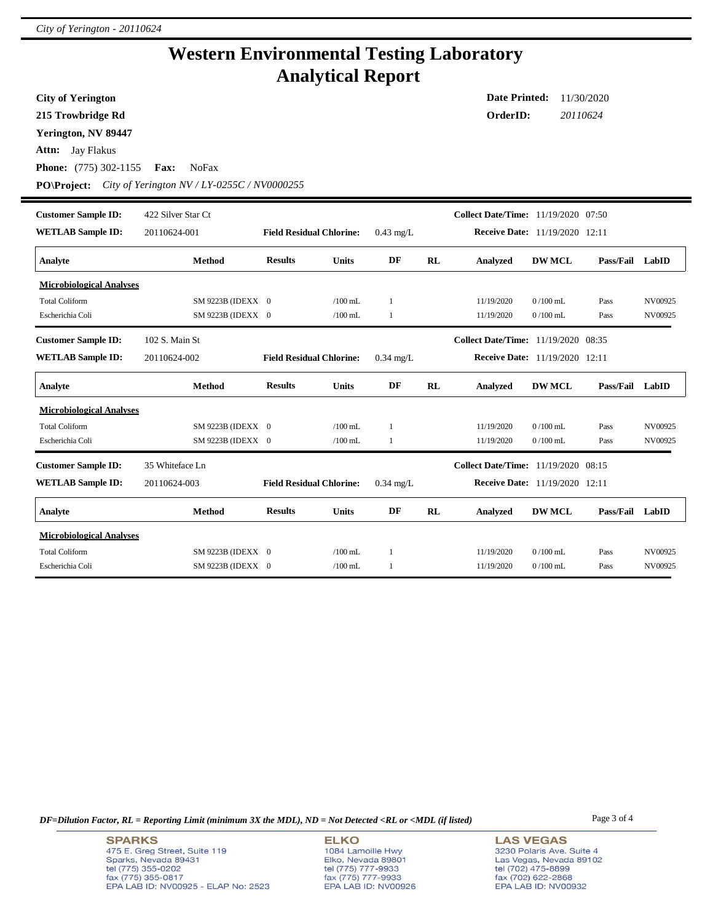## **Western Environmental Testing Laboratory Analytical Report**

**City of Yerington**

**215 Trowbridge Rd**

**Yerington, NV 89447**

**Attn:** Jay Flakus

**Phone:** (775) 302-1155 **Fax:** NoFax

**PO\Project:** *City of Yerington NV / LY-0255C / NV0000255*

| <b>Customer Sample ID:</b><br><b>WETLAB Sample ID:</b> | 422 Silver Star Ct<br>20110624-001 | <b>Field Residual Chlorine:</b> |              | $0.43$ mg/L  |    | Collect Date/Time: 11/19/2020 07:50<br>Receive Date: 11/19/2020 12:11 |                  |                  |         |
|--------------------------------------------------------|------------------------------------|---------------------------------|--------------|--------------|----|-----------------------------------------------------------------------|------------------|------------------|---------|
| Analyte                                                | Method                             | <b>Results</b>                  | <b>Units</b> | DF           | RL | <b>Analyzed</b>                                                       | <b>DW MCL</b>    | <b>Pass/Fail</b> | LabID   |
|                                                        |                                    |                                 |              |              |    |                                                                       |                  |                  |         |
| <b>Microbiological Analyses</b>                        |                                    |                                 |              |              |    |                                                                       |                  |                  |         |
| <b>Total Coliform</b>                                  | SM 9223B (IDEXX 0                  |                                 | $/100$ mL.   | $\mathbf{1}$ |    | 11/19/2020                                                            | $0/100$ mL       | Pass             | NV00925 |
| Escherichia Coli                                       | SM 9223B (IDEXX 0                  |                                 | $/100$ mL    | 1            |    | 11/19/2020                                                            | $0/100$ mL       | Pass             | NV00925 |
| <b>Customer Sample ID:</b>                             | 102 S. Main St                     |                                 |              |              |    | <b>Collect Date/Time:</b> 11/19/2020 08:35                            |                  |                  |         |
| <b>WETLAB Sample ID:</b>                               | 20110624-002                       | <b>Field Residual Chlorine:</b> |              | $0.34$ mg/L  |    | <b>Receive Date:</b> 11/19/2020 12:11                                 |                  |                  |         |
| Analyte                                                | <b>Method</b>                      | <b>Results</b>                  | <b>Units</b> | DF           | RL | <b>Analyzed</b>                                                       | <b>DW MCL</b>    | Pass/Fail        | LabID   |
| <b>Microbiological Analyses</b>                        |                                    |                                 |              |              |    |                                                                       |                  |                  |         |
| <b>Total Coliform</b>                                  | SM 9223B (IDEXX 0                  |                                 | $/100$ mL    | 1            |    | 11/19/2020                                                            | $0/100$ mL       | Pass             | NV00925 |
| Escherichia Coli                                       | SM 9223B (IDEXX 0                  |                                 | /100 mL      | 1            |    | 11/19/2020                                                            | $0/100$ mL       | Pass             | NV00925 |
| <b>Customer Sample ID:</b>                             | 35 Whiteface Ln                    |                                 |              |              |    | <b>Collect Date/Time:</b>                                             | 11/19/2020 08:15 |                  |         |
| <b>WETLAB Sample ID:</b>                               | 20110624-003                       | <b>Field Residual Chlorine:</b> |              | $0.34$ mg/L  |    | <b>Receive Date:</b> 11/19/2020                                       |                  | 12:11            |         |
| Analyte                                                | <b>Method</b>                      | <b>Results</b>                  | <b>Units</b> | DF           | RL | <b>Analyzed</b>                                                       | <b>DW MCL</b>    | Pass/Fail        | LabID   |
| <b>Microbiological Analyses</b>                        |                                    |                                 |              |              |    |                                                                       |                  |                  |         |
| <b>Total Coliform</b>                                  | SM 9223B (IDEXX 0                  |                                 | $/100$ mL    |              |    | 11/19/2020                                                            | $0/100$ mL       | Pass             | NV00925 |
| Escherichia Coli                                       | SM 9223B (IDEXX 0                  |                                 | $/100$ mL    | 1            |    | 11/19/2020                                                            | $0/100$ mL       | Pass             | NV00925 |

*DF=Dilution Factor, RL = Reporting Limit (minimum 3X the MDL), ND = Not Detected <RL or <MDL (if listed)* Page 3 of 4

**ELKO** 1084 Lamoille Hwy Elko, Nevada 89801<br>tel (775) 777-9933<br>fax (775) 777-9933 EPA LAB ID: NV00926 **LAS VEGAS** 3230 Polaris Ave. Suite 4 Las Vegas, Nevada 89102 tel (702) 475-8899<br>fax (702) 622-2868 EPA LAB ID: NV00932

**Date Printed:** 11/30/2020 **OrderID:** *20110624*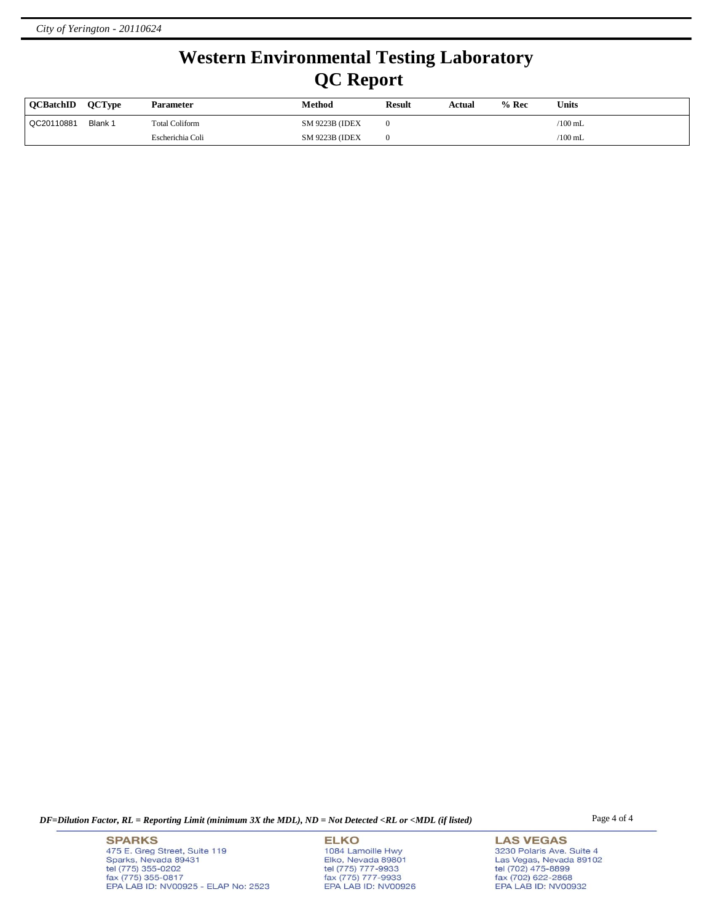# **Western Environmental Testing Laboratory QC Report**

| <b>OCBatchID</b> | <b>OCType</b> | Parameter        | Method                 | <b>Result</b> | Actual | $%$ Rec | Units     |
|------------------|---------------|------------------|------------------------|---------------|--------|---------|-----------|
| QC20110881       | Blank 1       | Total Coliform   | <b>SM 9223B (IDEX)</b> |               |        |         | $/100$ mL |
|                  |               | Escherichia Coli | <b>SM 9223B (IDEX)</b> |               |        |         | $/100$ mL |

*DF=Dilution Factor, RL = Reporting Limit (minimum 3X the MDL), ND = Not Detected <RL or <MDL (if listed)* Page 4 of 4

**SPARKS** 475 E. Greg Street, Suite 119 Sparks, Nevada 89431<br>tel (775) 355-0202<br>fax (775) 355-0817 EPA LAB ID: NV00925 - ELAP No: 2523

**ELKO** 1084 Lamoille Hwy Elko, Nevada 89801<br>tel (775) 777-9933<br>fax (775) 777-9933 EPA LAB ID: NV00926

**LAS VEGAS** 3230 Polaris Ave. Suite 4 Las Vegas, Nevada 89102<br>tel (702) 475-8899<br>fax (702) 622-2868<br>EPA LAB ID: NV00932